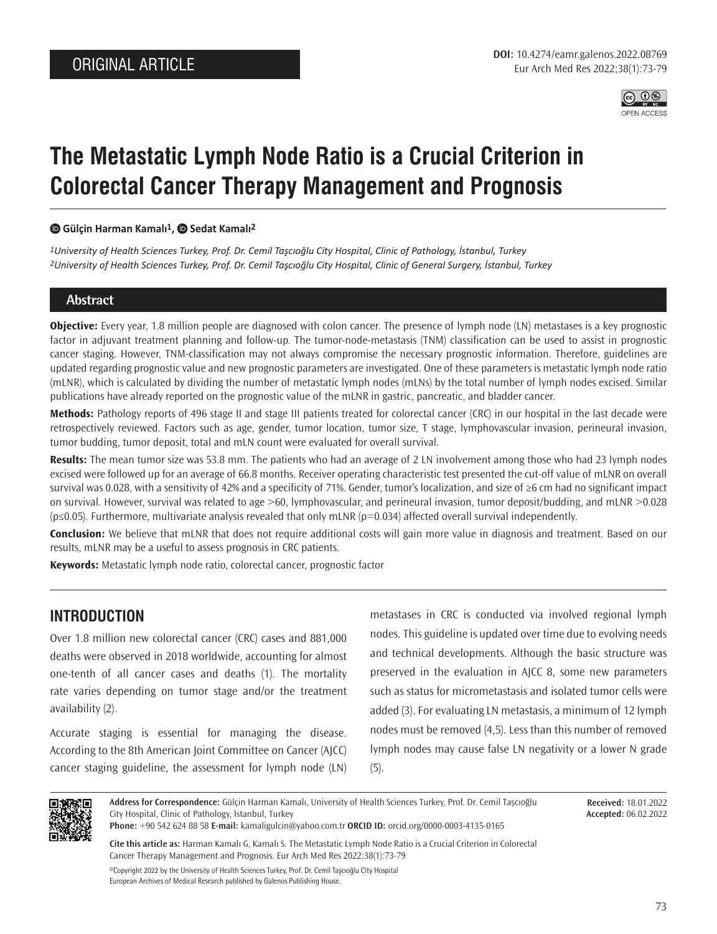

# **The Metastatic Lymph Node Ratio is a Crucial Criterion in Colorectal Cancer Therapy Management and Prognosis**

#### **Gülçin Harman Kamalı1, Sedat Kamalı2**

*1University of Health Sciences Turkey, Prof. Dr. Cemil Taşcıoğlu City Hospital, Clinic of Pathology, İstanbul, Turkey 2University of Health Sciences Turkey, Prof. Dr. Cemil Taşcıoğlu City Hospital, Clinic of General Surgery, İstanbul, Turkey*

#### **Abstract**

**Objective:** Every year, 1.8 million people are diagnosed with colon cancer. The presence of lymph node (LN) metastases is a key prognostic factor in adjuvant treatment planning and follow-up. The tumor-node-metastasis (TNM) classification can be used to assist in prognostic cancer staging. However, TNM-classification may not always compromise the necessary prognostic information. Therefore, guidelines are updated regarding prognostic value and new prognostic parameters are investigated. One of these parameters is metastatic lymph node ratio (mLNR), which is calculated by dividing the number of metastatic lymph nodes (mLNs) by the total number of lymph nodes excised. Similar publications have already reported on the prognostic value of the mLNR in gastric, pancreatic, and bladder cancer.

**Methods:** Pathology reports of 496 stage II and stage III patients treated for colorectal cancer (CRC) in our hospital in the last decade were retrospectively reviewed. Factors such as age, gender, tumor location, tumor size, T stage, lymphovascular invasion, perineural invasion, tumor budding, tumor deposit, total and mLN count were evaluated for overall survival.

**Results:** The mean tumor size was 53.8 mm. The patients who had an average of 2 LN involvement among those who had 23 lymph nodes excised were followed up for an average of 66.8 months. Receiver operating characteristic test presented the cut-off value of mLNR on overall survival was 0.028, with a sensitivity of 42% and a specificity of 71%. Gender, tumor's localization, and size of ≥6 cm had no significant impact on survival. However, survival was related to age >60, lymphovascular, and perineural invasion, tumor deposit/budding, and mLNR >0.028 (p≤0.05). Furthermore, multivariate analysis revealed that only mLNR (p=0.034) affected overall survival independently.

**Conclusion:** We believe that mLNR that does not require additional costs will gain more value in diagnosis and treatment. Based on our results, mLNR may be a useful to assess prognosis in CRC patients.

**Keywords:** Metastatic lymph node ratio, colorectal cancer, prognostic factor

### **INTRODUCTION**

Over 1.8 million new colorectal cancer (CRC) cases and 881,000 deaths were observed in 2018 worldwide, accounting for almost one-tenth of all cancer cases and deaths (1). The mortality rate varies depending on tumor stage and/or the treatment availability (2).

Accurate staging is essential for managing the disease. According to the 8th American Joint Committee on Cancer (AJCC) cancer staging guideline, the assessment for lymph node (LN)

metastases in CRC is conducted via involved regional lymph nodes. This guideline is updated over time due to evolving needs and technical developments. Although the basic structure was preserved in the evaluation in AJCC 8, some new parameters such as status for micrometastasis and isolated tumor cells were added (3). For evaluating LN metastasis, a minimum of 12 lymph nodes must be removed (4,5). Less than this number of removed lymph nodes may cause false LN negativity or a lower N grade (5).



**Address for Correspondence:** Gülçin Harman Kamalı, University of Health Sciences Turkey, Prof. Dr. Cemil Taşcıoğlu City Hospital, Clinic of Pathology, İstanbul, Turkey

**Received:** 18.01.2022 **Accepted:** 06.02.2022

**Phone:** +90 542 624 88 58 **E-mail:** kamaligulcin@yahoo.com.tr **ORCID ID:** orcid.org/0000-0003-4135-0165

**Cite this article as:** Harman Kamalı G, Kamalı S. The Metastatic Lymph Node Ratio is a Crucial Criterion in Colorectal Cancer Therapy Management and Prognosis. Eur Arch Med Res 2022;38(1):73-79

©Copyright 2022 by the University of Health Sciences Turkey, Prof. Dr. Cemil Taşcıoğlu City Hospital European Archives of Medical Research published by Galenos Publishing House.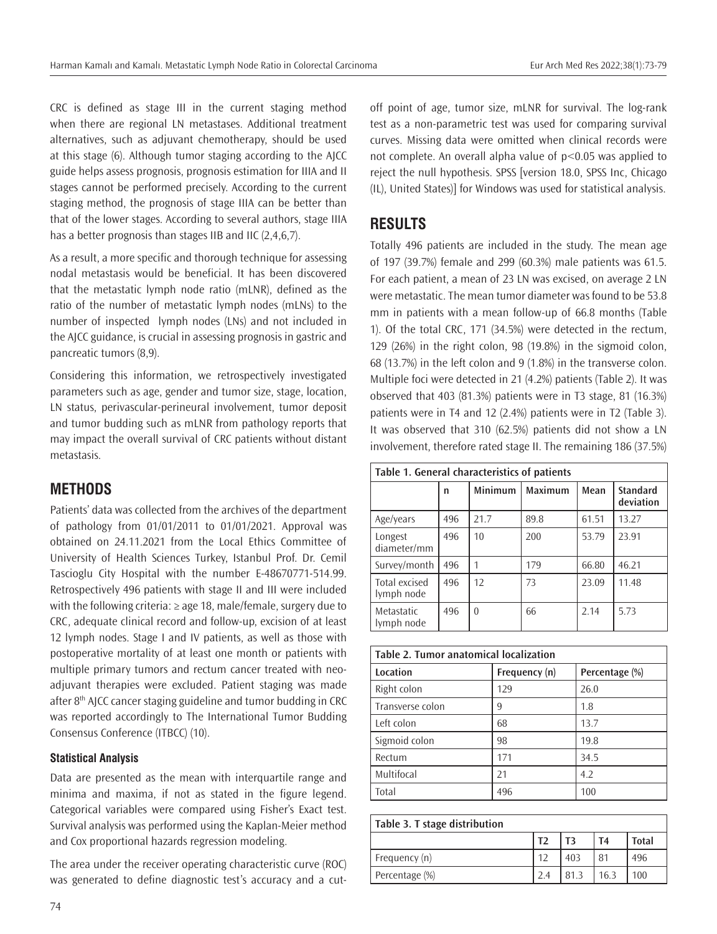CRC is defined as stage III in the current staging method when there are regional LN metastases. Additional treatment alternatives, such as adjuvant chemotherapy, should be used at this stage (6). Although tumor staging according to the AJCC guide helps assess prognosis, prognosis estimation for IIIA and II stages cannot be performed precisely. According to the current staging method, the prognosis of stage IIIA can be better than that of the lower stages. According to several authors, stage IIIA has a better prognosis than stages IIB and IIC (2,4,6,7).

As a result, a more specific and thorough technique for assessing nodal metastasis would be beneficial. It has been discovered that the metastatic lymph node ratio (mLNR), defined as the ratio of the number of metastatic lymph nodes (mLNs) to the number of inspected lymph nodes (LNs) and not included in the AJCC guidance, is crucial in assessing prognosis in gastric and pancreatic tumors (8,9).

Considering this information, we retrospectively investigated parameters such as age, gender and tumor size, stage, location, LN status, perivascular-perineural involvement, tumor deposit and tumor budding such as mLNR from pathology reports that may impact the overall survival of CRC patients without distant metastasis.

# **METHODS**

Patients' data was collected from the archives of the department of pathology from 01/01/2011 to 01/01/2021. Approval was obtained on 24.11.2021 from the Local Ethics Committee of University of Health Sciences Turkey, Istanbul Prof. Dr. Cemil Tascioglu City Hospital with the number E-48670771-514.99. Retrospectively 496 patients with stage II and III were included with the following criteria: ≥ age 18, male/female, surgery due to CRC, adequate clinical record and follow-up, excision of at least 12 lymph nodes. Stage I and IV patients, as well as those with postoperative mortality of at least one month or patients with multiple primary tumors and rectum cancer treated with neoadjuvant therapies were excluded. Patient staging was made after 8<sup>th</sup> AJCC cancer staging guideline and tumor budding in CRC was reported accordingly to The International Tumor Budding Consensus Conference (ITBCC) (10).

### **Statistical Analysis**

Data are presented as the mean with interquartile range and minima and maxima, if not as stated in the figure legend. Categorical variables were compared using Fisher's Exact test. Survival analysis was performed using the Kaplan-Meier method and Cox proportional hazards regression modeling.

The area under the receiver operating characteristic curve (ROC) was generated to define diagnostic test's accuracy and a cutoff point of age, tumor size, mLNR for survival. The log-rank test as a non-parametric test was used for comparing survival curves. Missing data were omitted when clinical records were not complete. An overall alpha value of p<0.05 was applied to reject the null hypothesis. SPSS [version 18.0, SPSS Inc, Chicago (IL), United States)] for Windows was used for statistical analysis.

# **RESULTS**

Totally 496 patients are included in the study. The mean age of 197 (39.7%) female and 299 (60.3%) male patients was 61.5. For each patient, a mean of 23 LN was excised, on average 2 LN were metastatic. The mean tumor diameter was found to be 53.8 mm in patients with a mean follow-up of 66.8 months (Table 1). Of the total CRC, 171 (34.5%) were detected in the rectum, 129 (26%) in the right colon, 98 (19.8%) in the sigmoid colon, 68 (13.7%) in the left colon and 9 (1.8%) in the transverse colon. Multiple foci were detected in 21 (4.2%) patients (Table 2). It was observed that 403 (81.3%) patients were in T3 stage, 81 (16.3%) patients were in T4 and 12 (2.4%) patients were in T2 (Table 3). It was observed that 310 (62.5%) patients did not show a LN involvement, therefore rated stage II. The remaining 186 (37.5%)

| Table 1. General characteristics of patients |     |                |                |       |                              |  |  |
|----------------------------------------------|-----|----------------|----------------|-------|------------------------------|--|--|
|                                              | n   | <b>Minimum</b> | <b>Maximum</b> | Mean  | <b>Standard</b><br>deviation |  |  |
| Age/years                                    | 496 | 21.7           | 89.8           | 61.51 | 13.27                        |  |  |
| Longest<br>diameter/mm                       | 496 | 10             | 200            | 53.79 | 23.91                        |  |  |
| Survey/month                                 | 496 | 1              | 179            | 66.80 | 46.21                        |  |  |
| Total excised<br>lymph node                  | 496 | 12             | 73             | 23.09 | 11.48                        |  |  |
| Metastatic<br>lymph node                     | 496 | $\theta$       | 66             | 2.14  | 5.73                         |  |  |

| Table 2. Tumor anatomical localization |               |                |  |  |  |
|----------------------------------------|---------------|----------------|--|--|--|
| Location                               | Frequency (n) | Percentage (%) |  |  |  |
| Right colon                            | 129           | 26.0           |  |  |  |
| Transverse colon                       | 9             | 1.8            |  |  |  |
| Left colon                             | 68            | 13.7           |  |  |  |
| Sigmoid colon                          | 98            | 19.8           |  |  |  |
| Rectum                                 | 171           | 34.5           |  |  |  |
| Multifocal                             | 21            | 4.2            |  |  |  |
| Total                                  | 496           | 100            |  |  |  |

| Table 3. T stage distribution |      |      |              |  |  |  |
|-------------------------------|------|------|--------------|--|--|--|
| T <sub>2</sub>                | T3   | T4   | <b>Total</b> |  |  |  |
| 12                            | 403  | 81   | 496          |  |  |  |
| 2.4                           | 81.3 | 16.3 | 100          |  |  |  |
|                               |      |      |              |  |  |  |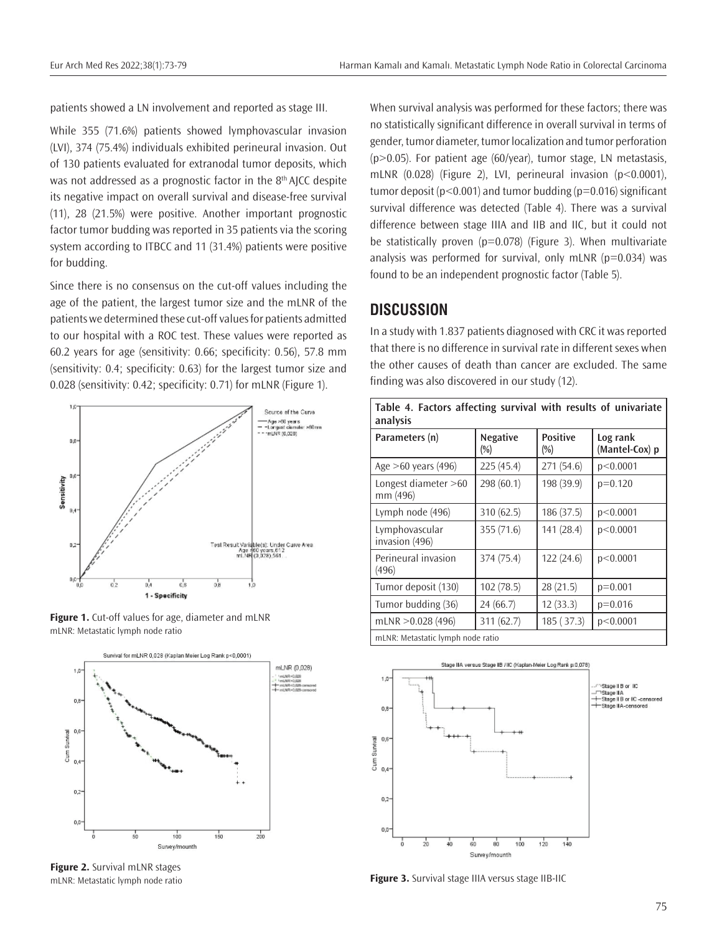patients showed a LN involvement and reported as stage III.

While 355 (71.6%) patients showed lymphovascular invasion (LVI), 374 (75.4%) individuals exhibited perineural invasion. Out of 130 patients evaluated for extranodal tumor deposits, which was not addressed as a prognostic factor in the 8<sup>th</sup> AJCC despite its negative impact on overall survival and disease-free survival (11), 28 (21.5%) were positive. Another important prognostic factor tumor budding was reported in 35 patients via the scoring system according to ITBCC and 11 (31.4%) patients were positive for budding.

Since there is no consensus on the cut-off values including the age of the patient, the largest tumor size and the mLNR of the patients we determined these cut-off values for patients admitted to our hospital with a ROC test. These values were reported as 60.2 years for age (sensitivity: 0.66; specificity: 0.56), 57.8 mm (sensitivity: 0.4; specificity: 0.63) for the largest tumor size and 0.028 (sensitivity: 0.42; specificity: 0.71) for mLNR (Figure 1).



**Figure 1.** Cut-off values for age, diameter and mLNR mLNR: Metastatic lymph node ratio



**Figure 2.** Survival mLNR stages mLNR: Metastatic lymph node ratio

When survival analysis was performed for these factors; there was no statistically significant difference in overall survival in terms of gender, tumor diameter, tumor localization and tumor perforation  $(p>0.05)$ . For patient age  $(60/year)$ , tumor stage, LN metastasis, mLNR (0.028) (Figure 2), LVI, perineural invasion (p<0.0001), tumor deposit ( $p < 0.001$ ) and tumor budding ( $p = 0.016$ ) significant survival difference was detected (Table 4). There was a survival difference between stage IIIA and IIB and IIC, but it could not be statistically proven ( $p=0.078$ ) (Figure 3). When multivariate analysis was performed for survival, only mLNR  $(p=0.034)$  was found to be an independent prognostic factor (Table 5).

### **DISCUSSION**

In a study with 1.837 patients diagnosed with CRC it was reported that there is no difference in survival rate in different sexes when the other causes of death than cancer are excluded. The same finding was also discovered in our study (12).

| Table 4. Factors affecting survival with results of univariate<br>analysis |                           |                           |                            |  |  |
|----------------------------------------------------------------------------|---------------------------|---------------------------|----------------------------|--|--|
| Parameters (n)                                                             | <b>Negative</b><br>$(\%)$ | <b>Positive</b><br>$(\%)$ | Log rank<br>(Mantel-Cox) p |  |  |
| Age >60 years (496)                                                        | 225(45.4)                 | 271(54.6)                 | p<0.0001                   |  |  |
| Longest diameter $>60$<br>mm (496)                                         | 298 (60.1)                | 198 (39.9)                | $p=0.120$                  |  |  |
| Lymph node (496)                                                           | 310 (62.5)                | 186(37.5)                 | p<0.0001                   |  |  |
| Lymphovascular<br>invasion (496)                                           | 355 (71.6)                | 141 (28.4)                | p<0.0001                   |  |  |
| Perineural invasion<br>(496)                                               | 374 (75.4)                | 122(24.6)                 | p<0.0001                   |  |  |
| Tumor deposit (130)                                                        | 102(78.5)                 | 28 (21.5)                 | $p=0.001$                  |  |  |
| Tumor budding (36)                                                         | 24 (66.7)                 | 12(33.3)                  | $p=0.016$                  |  |  |
| mLNR $>0.028$ (496)                                                        | 311 (62.7)                | 185 (37.3)                | p<0.0001                   |  |  |
| mLNR: Metastatic lymph node ratio                                          |                           |                           |                            |  |  |



**Figure 3.** Survival stage IIIA versus stage IIB-IIC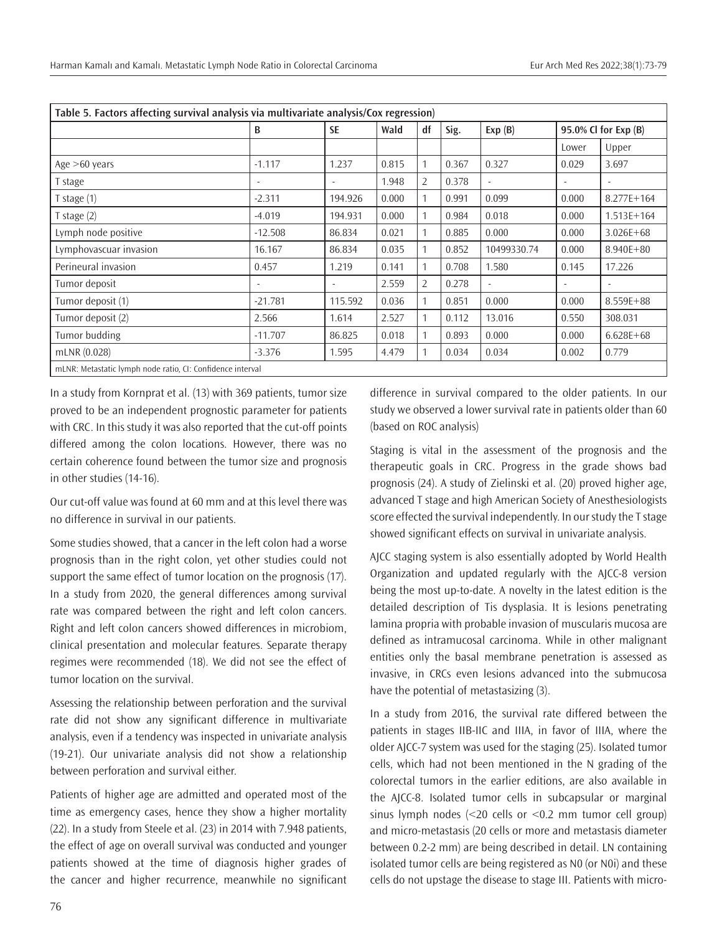|                        | B         | Table 5. Factors affecting survival analysis via multivariate analysis/Cox regression) |       |    |       |             |                      |                |  |
|------------------------|-----------|----------------------------------------------------------------------------------------|-------|----|-------|-------------|----------------------|----------------|--|
|                        |           | <b>SE</b>                                                                              | Wald  | df | Sig.  | Exp(B)      | 95.0% Cl for Exp (B) |                |  |
|                        |           |                                                                                        |       |    |       |             | Lower                | Upper          |  |
| Age $>60$ years        | $-1.117$  | 1.237                                                                                  | 0.815 | 1  | 0.367 | 0.327       | 0.029                | 3.697          |  |
| T stage                |           |                                                                                        | 1.948 | 2  | 0.378 |             | $\overline{a}$       |                |  |
| T stage $(1)$          | $-2.311$  | 194.926                                                                                | 0.000 |    | 0.991 | 0.099       | 0.000                | $8.277E + 164$ |  |
| T stage $(2)$          | $-4.019$  | 194.931                                                                                | 0.000 |    | 0.984 | 0.018       | 0.000                | $1.513E+164$   |  |
| Lymph node positive    | $-12.508$ | 86.834                                                                                 | 0.021 |    | 0.885 | 0.000       | 0.000                | $3.026E + 68$  |  |
| Lymphovascuar invasion | 16.167    | 86.834                                                                                 | 0.035 |    | 0.852 | 10499330.74 | 0.000                | $8.940E + 80$  |  |
| Perineural invasion    | 0.457     | 1.219                                                                                  | 0.141 |    | 0.708 | 1.580       | 0.145                | 17.226         |  |
| Tumor deposit          |           | $\overline{\phantom{a}}$                                                               | 2.559 | 2  | 0.278 |             | $\sim$               |                |  |
| Tumor deposit (1)      | $-21.781$ | 115.592                                                                                | 0.036 |    | 0.851 | 0.000       | 0.000                | $8.559E + 88$  |  |
| Tumor deposit (2)      | 2.566     | 1.614                                                                                  | 2.527 |    | 0.112 | 13.016      | 0.550                | 308.031        |  |
| Tumor budding          | $-11.707$ | 86.825                                                                                 | 0.018 |    | 0.893 | 0.000       | 0.000                | $6.628E + 68$  |  |
| mLNR(0.028)            | $-3.376$  | 1.595                                                                                  | 4.479 |    | 0.034 | 0.034       | 0.002                | 0.779          |  |

In a study from Kornprat et al. (13) with 369 patients, tumor size proved to be an independent prognostic parameter for patients with CRC. In this study it was also reported that the cut-off points differed among the colon locations. However, there was no certain coherence found between the tumor size and prognosis in other studies (14-16).

Our cut-off value was found at 60 mm and at this level there was no difference in survival in our patients.

Some studies showed, that a cancer in the left colon had a worse prognosis than in the right colon, yet other studies could not support the same effect of tumor location on the prognosis (17). In a study from 2020, the general differences among survival rate was compared between the right and left colon cancers. Right and left colon cancers showed differences in microbiom, clinical presentation and molecular features. Separate therapy regimes were recommended (18). We did not see the effect of tumor location on the survival.

Assessing the relationship between perforation and the survival rate did not show any significant difference in multivariate analysis, even if a tendency was inspected in univariate analysis (19-21). Our univariate analysis did not show a relationship between perforation and survival either.

Patients of higher age are admitted and operated most of the time as emergency cases, hence they show a higher mortality (22). In a study from Steele et al. (23) in 2014 with 7.948 patients, the effect of age on overall survival was conducted and younger patients showed at the time of diagnosis higher grades of the cancer and higher recurrence, meanwhile no significant

difference in survival compared to the older patients. In our study we observed a lower survival rate in patients older than 60 (based on ROC analysis)

Staging is vital in the assessment of the prognosis and the therapeutic goals in CRC. Progress in the grade shows bad prognosis (24). A study of Zielinski et al. (20) proved higher age, advanced T stage and high American Society of Anesthesiologists score effected the survival independently. In our study the T stage showed significant effects on survival in univariate analysis.

AJCC staging system is also essentially adopted by World Health Organization and updated regularly with the AJCC-8 version being the most up-to-date. A novelty in the latest edition is the detailed description of Tis dysplasia. It is lesions penetrating lamina propria with probable invasion of muscularis mucosa are defined as intramucosal carcinoma. While in other malignant entities only the basal membrane penetration is assessed as invasive, in CRCs even lesions advanced into the submucosa have the potential of metastasizing (3).

In a study from 2016, the survival rate differed between the patients in stages IIB-IIC and IIIA, in favor of IIIA, where the older AJCC-7 system was used for the staging (25). Isolated tumor cells, which had not been mentioned in the N grading of the colorectal tumors in the earlier editions, are also available in the AJCC-8. Isolated tumor cells in subcapsular or marginal sinus lymph nodes (<20 cells or <0.2 mm tumor cell group) and micro-metastasis (20 cells or more and metastasis diameter between 0.2-2 mm) are being described in detail. LN containing isolated tumor cells are being registered as N0 (or N0i) and these cells do not upstage the disease to stage III. Patients with micro-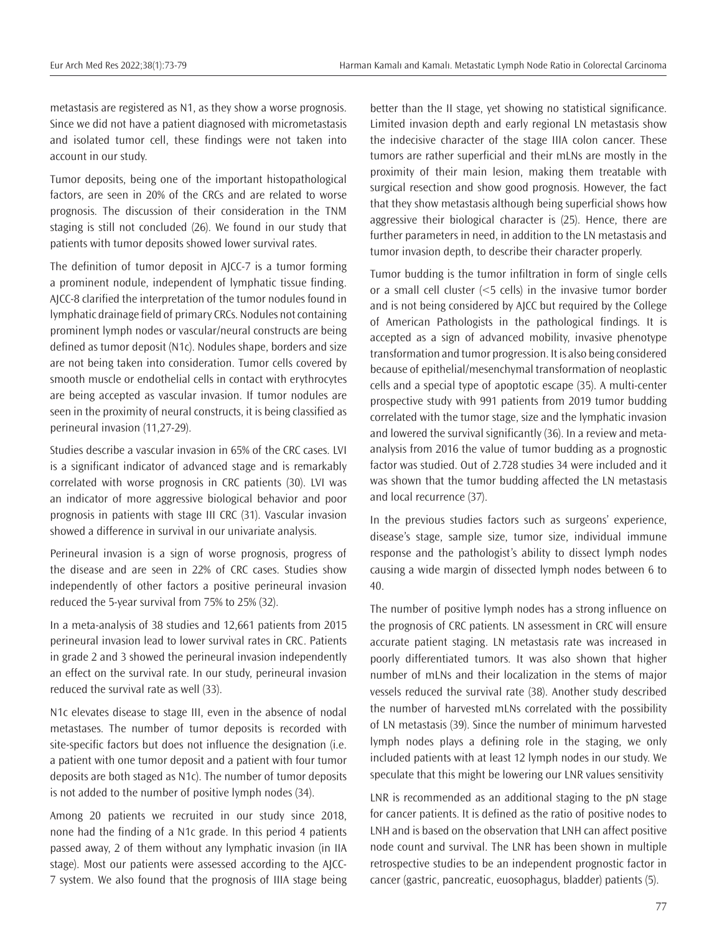metastasis are registered as N1, as they show a worse prognosis. Since we did not have a patient diagnosed with micrometastasis and isolated tumor cell, these findings were not taken into account in our study.

Tumor deposits, being one of the important histopathological factors, are seen in 20% of the CRCs and are related to worse prognosis. The discussion of their consideration in the TNM staging is still not concluded (26). We found in our study that patients with tumor deposits showed lower survival rates.

The definition of tumor deposit in AJCC-7 is a tumor forming a prominent nodule, independent of lymphatic tissue finding. AJCC-8 clarified the interpretation of the tumor nodules found in lymphatic drainage field of primary CRCs. Nodules not containing prominent lymph nodes or vascular/neural constructs are being defined as tumor deposit (N1c). Nodules shape, borders and size are not being taken into consideration. Tumor cells covered by smooth muscle or endothelial cells in contact with erythrocytes are being accepted as vascular invasion. If tumor nodules are seen in the proximity of neural constructs, it is being classified as perineural invasion (11,27-29).

Studies describe a vascular invasion in 65% of the CRC cases. LVI is a significant indicator of advanced stage and is remarkably correlated with worse prognosis in CRC patients (30). LVI was an indicator of more aggressive biological behavior and poor prognosis in patients with stage III CRC (31). Vascular invasion showed a difference in survival in our univariate analysis.

Perineural invasion is a sign of worse prognosis, progress of the disease and are seen in 22% of CRC cases. Studies show independently of other factors a positive perineural invasion reduced the 5-year survival from 75% to 25% (32).

In a meta-analysis of 38 studies and 12,661 patients from 2015 perineural invasion lead to lower survival rates in CRC. Patients in grade 2 and 3 showed the perineural invasion independently an effect on the survival rate. In our study, perineural invasion reduced the survival rate as well (33).

N1c elevates disease to stage III, even in the absence of nodal metastases. The number of tumor deposits is recorded with site-specific factors but does not influence the designation (i.e. a patient with one tumor deposit and a patient with four tumor deposits are both staged as N1c). The number of tumor deposits is not added to the number of positive lymph nodes (34).

Among 20 patients we recruited in our study since 2018, none had the finding of a N1c grade. In this period 4 patients passed away, 2 of them without any lymphatic invasion (in IIA stage). Most our patients were assessed according to the AJCC-7 system. We also found that the prognosis of IIIA stage being

better than the II stage, yet showing no statistical significance. Limited invasion depth and early regional LN metastasis show the indecisive character of the stage IIIA colon cancer. These tumors are rather superficial and their mLNs are mostly in the proximity of their main lesion, making them treatable with surgical resection and show good prognosis. However, the fact that they show metastasis although being superficial shows how aggressive their biological character is (25). Hence, there are further parameters in need, in addition to the LN metastasis and tumor invasion depth, to describe their character properly.

Tumor budding is the tumor infiltration in form of single cells or a small cell cluster (<5 cells) in the invasive tumor border and is not being considered by AJCC but required by the College of American Pathologists in the pathological findings. It is accepted as a sign of advanced mobility, invasive phenotype transformation and tumor progression. It is also being considered because of epithelial/mesenchymal transformation of neoplastic cells and a special type of apoptotic escape (35). A multi-center prospective study with 991 patients from 2019 tumor budding correlated with the tumor stage, size and the lymphatic invasion and lowered the survival significantly (36). In a review and metaanalysis from 2016 the value of tumor budding as a prognostic factor was studied. Out of 2.728 studies 34 were included and it was shown that the tumor budding affected the LN metastasis and local recurrence (37).

In the previous studies factors such as surgeons' experience, disease's stage, sample size, tumor size, individual immune response and the pathologist's ability to dissect lymph nodes causing a wide margin of dissected lymph nodes between 6 to 40.

The number of positive lymph nodes has a strong influence on the prognosis of CRC patients. LN assessment in CRC will ensure accurate patient staging. LN metastasis rate was increased in poorly differentiated tumors. It was also shown that higher number of mLNs and their localization in the stems of major vessels reduced the survival rate (38). Another study described the number of harvested mLNs correlated with the possibility of LN metastasis (39). Since the number of minimum harvested lymph nodes plays a defining role in the staging, we only included patients with at least 12 lymph nodes in our study. We speculate that this might be lowering our LNR values sensitivity

LNR is recommended as an additional staging to the pN stage for cancer patients. It is defined as the ratio of positive nodes to LNH and is based on the observation that LNH can affect positive node count and survival. The LNR has been shown in multiple retrospective studies to be an independent prognostic factor in cancer (gastric, pancreatic, euosophagus, bladder) patients (5).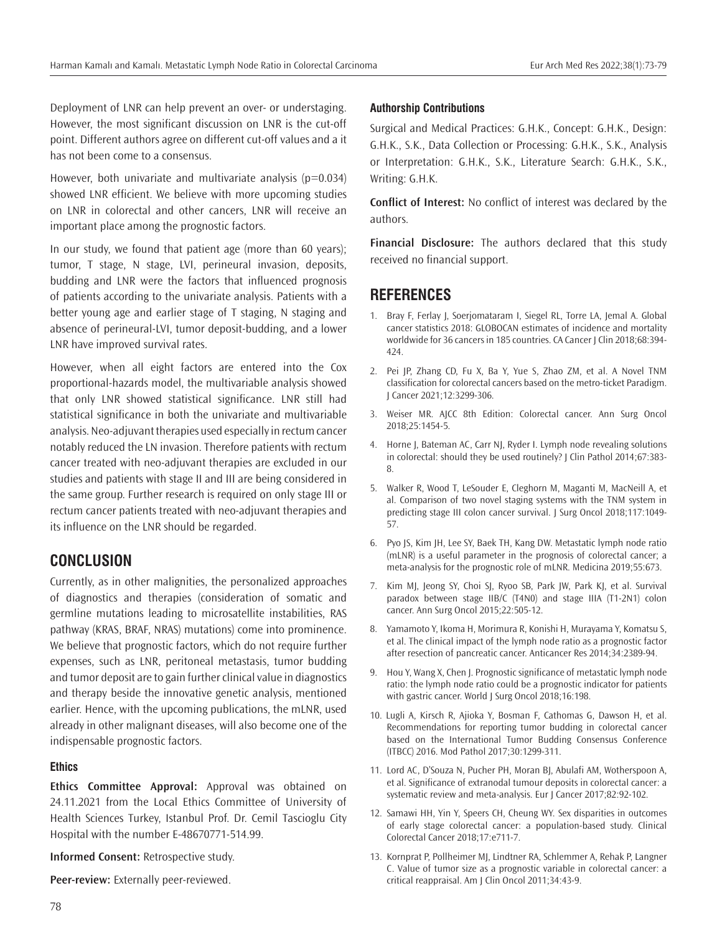Deployment of LNR can help prevent an over- or understaging. However, the most significant discussion on LNR is the cut-off point. Different authors agree on different cut-off values and a it has not been come to a consensus.

However, both univariate and multivariate analysis ( $p=0.034$ ) showed LNR efficient. We believe with more upcoming studies on LNR in colorectal and other cancers, LNR will receive an important place among the prognostic factors.

In our study, we found that patient age (more than 60 years); tumor, T stage, N stage, LVI, perineural invasion, deposits, budding and LNR were the factors that influenced prognosis of patients according to the univariate analysis. Patients with a better young age and earlier stage of T staging, N staging and absence of perineural-LVI, tumor deposit-budding, and a lower LNR have improved survival rates.

However, when all eight factors are entered into the Cox proportional-hazards model, the multivariable analysis showed that only LNR showed statistical significance. LNR still had statistical significance in both the univariate and multivariable analysis. Neo-adjuvant therapies used especially in rectum cancer notably reduced the LN invasion. Therefore patients with rectum cancer treated with neo-adjuvant therapies are excluded in our studies and patients with stage II and III are being considered in the same group. Further research is required on only stage III or rectum cancer patients treated with neo-adjuvant therapies and its influence on the LNR should be regarded.

## **CONCLUSION**

Currently, as in other malignities, the personalized approaches of diagnostics and therapies (consideration of somatic and germline mutations leading to microsatellite instabilities, RAS pathway (KRAS, BRAF, NRAS) mutations) come into prominence. We believe that prognostic factors, which do not require further expenses, such as LNR, peritoneal metastasis, tumor budding and tumor deposit are to gain further clinical value in diagnostics and therapy beside the innovative genetic analysis, mentioned earlier. Hence, with the upcoming publications, the mLNR, used already in other malignant diseases, will also become one of the indispensable prognostic factors.

### **Ethics**

**Ethics Committee Approval:** Approval was obtained on 24.11.2021 from the Local Ethics Committee of University of Health Sciences Turkey, Istanbul Prof. Dr. Cemil Tascioglu City Hospital with the number E-48670771-514.99.

**Informed Consent:** Retrospective study.

**Peer-review:** Externally peer-reviewed.

### **Authorship Contributions**

Surgical and Medical Practices: G.H.K., Concept: G.H.K., Design: G.H.K., S.K., Data Collection or Processing: G.H.K., S.K., Analysis or Interpretation: G.H.K., S.K., Literature Search: G.H.K., S.K., Writing: G.H.K.

**Conflict of Interest:** No conflict of interest was declared by the authors.

**Financial Disclosure:** The authors declared that this study received no financial support.

## **REFERENCES**

- 1. Bray F, Ferlay J, Soerjomataram I, Siegel RL, Torre LA, Jemal A. Global cancer statistics 2018: GLOBOCAN estimates of incidence and mortality worldwide for 36 cancers in 185 countries. CA Cancer J Clin 2018;68:394- 424.
- 2. Pei JP, Zhang CD, Fu X, Ba Y, Yue S, Zhao ZM, et al. A Novel TNM classification for colorectal cancers based on the metro-ticket Paradigm. J Cancer 2021;12:3299-306.
- 3. Weiser MR. AJCC 8th Edition: Colorectal cancer. Ann Surg Oncol 2018;25:1454-5.
- 4. Horne J, Bateman AC, Carr NJ, Ryder I. Lymph node revealing solutions in colorectal: should they be used routinely? J Clin Pathol 2014;67:383- 8.
- 5. Walker R, Wood T, LeSouder E, Cleghorn M, Maganti M, MacNeill A, et al. Comparison of two novel staging systems with the TNM system in predicting stage III colon cancer survival. J Surg Oncol 2018;117:1049- 57.
- 6. Pyo JS, Kim JH, Lee SY, Baek TH, Kang DW. Metastatic lymph node ratio (mLNR) is a useful parameter in the prognosis of colorectal cancer; a meta-analysis for the prognostic role of mLNR. Medicina 2019;55:673.
- 7. Kim MJ, Jeong SY, Choi SJ, Ryoo SB, Park JW, Park KJ, et al. Survival paradox between stage IIB/C (T4N0) and stage IIIA (T1-2N1) colon cancer. Ann Surg Oncol 2015;22:505-12.
- 8. Yamamoto Y, Ikoma H, Morimura R, Konishi H, Murayama Y, Komatsu S, et al. The clinical impact of the lymph node ratio as a prognostic factor after resection of pancreatic cancer. Anticancer Res 2014;34:2389-94.
- 9. Hou Y, Wang X, Chen J. Prognostic significance of metastatic lymph node ratio: the lymph node ratio could be a prognostic indicator for patients with gastric cancer. World J Surg Oncol 2018;16:198.
- 10. Lugli A, Kirsch R, Ajioka Y, Bosman F, Cathomas G, Dawson H, et al. Recommendations for reporting tumor budding in colorectal cancer based on the International Tumor Budding Consensus Conference (ITBCC) 2016. Mod Pathol 2017;30:1299-311.
- 11. Lord AC, D'Souza N, Pucher PH, Moran BJ, Abulafi AM, Wotherspoon A, et al. Significance of extranodal tumour deposits in colorectal cancer: a systematic review and meta-analysis. Eur J Cancer 2017;82:92-102.
- 12. Samawi HH, Yin Y, Speers CH, Cheung WY. Sex disparities in outcomes of early stage colorectal cancer: a population-based study. Clinical Colorectal Cancer 2018;17:e711-7.
- 13. Kornprat P, Pollheimer MJ, Lindtner RA, Schlemmer A, Rehak P, Langner C. Value of tumor size as a prognostic variable in colorectal cancer: a critical reappraisal. Am J Clin Oncol 2011;34:43-9.